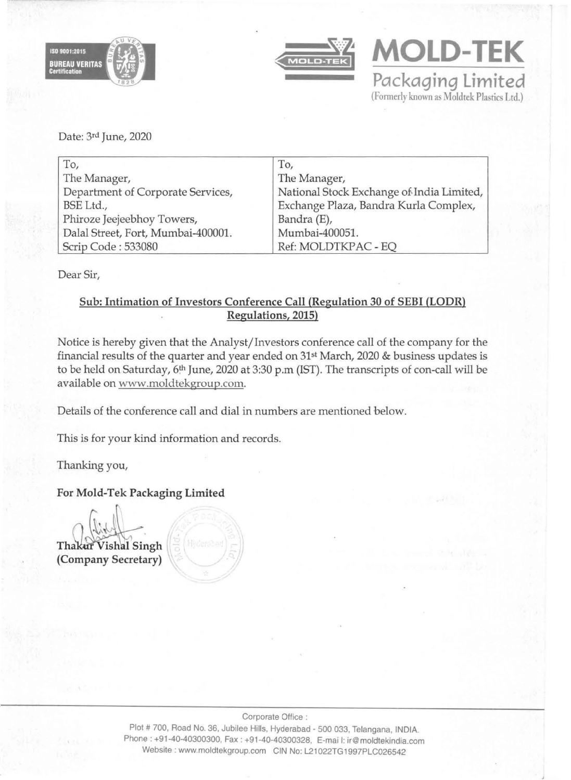



**MOLD-TEK Packaging Limited**  (Formerly known as Moldtek Plastics Ltd.)

Date: 3rd June, 2020

| To,                                | To,                                       |
|------------------------------------|-------------------------------------------|
| The Manager,                       | The Manager,                              |
| Department of Corporate Services,  | National Stock Exchange of India Limited, |
| BSE Ltd.,                          | Exchange Plaza, Bandra Kurla Complex,     |
| Phiroze Jeejeebhoy Towers,         | Bandra (E),                               |
| Dalal Street, Fort, Mumbai-400001. | Mumbai-400051.                            |
| Scrip Code: 533080                 | Ref: MOLDTKPAC - EQ                       |

Dear Sir,

### Sub: Intimation of Investors Conference Call (Regulation 30 of SEBI (LODR) Regulations, 2015)

Notice is hereby given that the Analyst/Investors conference call of the company for the financial results of the quarter and year ended on 31st March, 2020 & business updates is to be held on Saturday, 6<sup>th</sup> June, 2020 at 3:30 p.m (IST). The transcripts of con-call will be available on www.moldtekgroup.com.

Details of the conference call and dial in numbers are mentioned below.

This is for your kind information and records.

Thanking you,

### For Mold-Tek Packaging Limited

*n* abid Thakur Vishal Singh (Company Secretary)

Plot # 700, Road No. 36, Jubilee Hills, Hyderabad • 500 033, Telangana, INDIA. Phone: +91 ·40·40300300, Fax: +91·40·40300328, E·mai I: ir@moldtekindia.com Website: www.moldtekgroup.com CIN No: L21 022TG 1997PLC026542